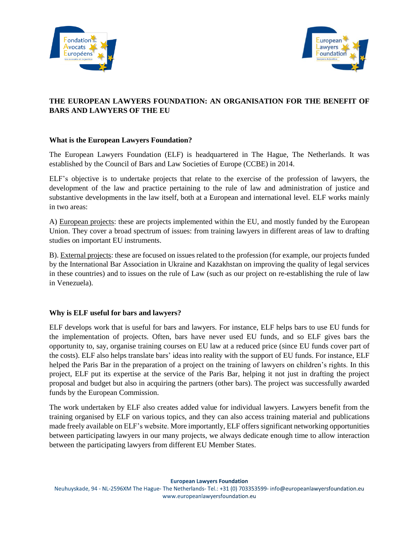



# **THE EUROPEAN LAWYERS FOUNDATION: AN ORGANISATION FOR THE BENEFIT OF BARS AND LAWYERS OF THE EU**

### **What is the European Lawyers Foundation?**

The European Lawyers Foundation (ELF) is headquartered in The Hague, The Netherlands. It was established by the Council of Bars and Law Societies of Europe (CCBE) in 2014.

ELF's objective is to undertake projects that relate to the exercise of the profession of lawyers, the development of the law and practice pertaining to the rule of law and administration of justice and substantive developments in the law itself, both at a European and international level. ELF works mainly in two areas:

A) European projects: these are projects implemented within the EU, and mostly funded by the European Union. They cover a broad spectrum of issues: from training lawyers in different areas of law to drafting studies on important EU instruments.

B). External projects: these are focused on issues related to the profession (for example, our projects funded by the International Bar Association in Ukraine and Kazakhstan on improving the quality of legal services in these countries) and to issues on the rule of Law (such as our project on re-establishing the rule of law in Venezuela).

### **Why is ELF useful for bars and lawyers?**

ELF develops work that is useful for bars and lawyers. For instance, ELF helps bars to use EU funds for the implementation of projects. Often, bars have never used EU funds, and so ELF gives bars the opportunity to, say, organise training courses on EU law at a reduced price (since EU funds cover part of the costs). ELF also helps translate bars' ideas into reality with the support of EU funds. For instance, ELF helped the Paris Bar in the preparation of a project on the training of lawyers on children's rights. In this project, ELF put its expertise at the service of the Paris Bar, helping it not just in drafting the project proposal and budget but also in acquiring the partners (other bars). The project was successfully awarded funds by the European Commission.

The work undertaken by ELF also creates added value for individual lawyers. Lawyers benefit from the training organised by ELF on various topics, and they can also access training material and publications made freely available on ELF's website. More importantly, ELF offers significant networking opportunities between participating lawyers in our many projects, we always dedicate enough time to allow interaction between the participating lawyers from different EU Member States.